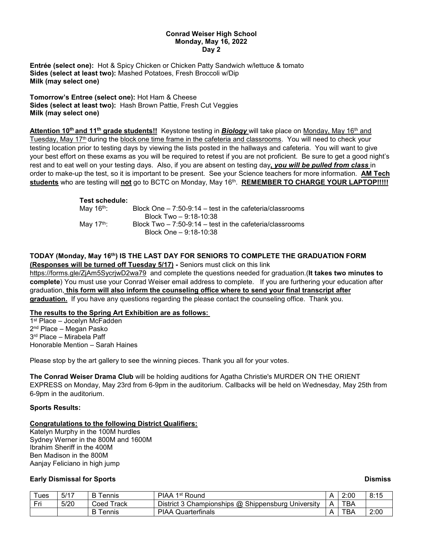#### **Conrad Weiser High School Monday, May 16, 2022 Day 2**

**Entrée (select one):** Hot & Spicy Chicken or Chicken Patty Sandwich w/lettuce & tomato **Sides (select at least two):** Mashed Potatoes, Fresh Broccoli w/Dip **Milk (may select one)**

**Tomorrow's Entree (select one):** Hot Ham & Cheese **Sides (select at least two):** Hash Brown Pattie, Fresh Cut Veggies **Milk (may select one)**

**Attention 10th and 11th grade students!!** Keystone testing in *Biology* will take place on Monday, May 16th and Tuesday, May 17th during the block one time frame in the cafeteria and classrooms. You will need to check your testing location prior to testing days by viewing the lists posted in the hallways and cafeteria. You will want to give your best effort on these exams as you will be required to retest if you are not proficient. Be sure to get a good night's rest and to eat well on your testing days. Also, if you are absent on testing day*, you will be pulled from class* in order to make-up the test, so it is important to be present. See your Science teachers for more information. **AM Tech students** who are testing will **not** go to BCTC on Monday, May 16th. **REMEMBER TO CHARGE YOUR LAPTOP!!!!!**

#### **Test schedule:**

| May 16 <sup>th</sup> : | Block One $-7:50-9:14$ – test in the cafeteria/classrooms |
|------------------------|-----------------------------------------------------------|
|                        | Block Two - 9:18-10:38                                    |
| Mav 17 <sup>th</sup> : | Block Two $-7:50-9:14$ – test in the cafeteria/classrooms |
|                        | Block One - 9:18-10:38                                    |

## **TODAY (Monday, May 16th) IS THE LAST DAY FOR SENIORS TO COMPLETE THE GRADUATION FORM (Responses will be turned off Tuesday 5/17) -** Seniors must click on this link

<https://forms.gle/ZjAm5SycrjwD2wa79> and complete the questions needed for graduation.(**It takes two minutes to complete**) You must use your Conrad Weiser email address to complete. If you are furthering your education after graduation, **this form will also inform the counseling office where to send your final transcript after graduation.** If you have any questions regarding the please contact the counseling office. Thank you.

## **The results to the Spring Art Exhibition are as follows:**

1st Place – Jocelyn McFadden 2nd Place – Megan Pasko 3<sup>rd</sup> Place – Mirabela Paff Honorable Mention – Sarah Haines

Please stop by the art gallery to see the winning pieces. Thank you all for your votes.

**The Conrad Weiser Drama Club** will be holding auditions for Agatha Christie's MURDER ON THE ORIENT EXPRESS on Monday, May 23rd from 6-9pm in the auditorium. Callbacks will be held on Wednesday, May 25th from 6-9pm in the auditorium.

## **Sports Results:**

# **Congratulations to the following District Qualifiers:**

Katelyn Murphy in the 100M hurdles Sydney Werner in the 800M and 1600M Ibrahim Sheriff in the 400M Ben Madison in the 800M Aanjay Feliciano in high jump

# **Early Dismissal for Sports Dismiss**

| -<br>ues    | 5/17 | ennis         | 1 <sup>st</sup> Round<br>PIAA                                         |   | 2:00 | 8:15 |
|-------------|------|---------------|-----------------------------------------------------------------------|---|------|------|
| Eri<br>- 11 | 5/20 | ⊺rack<br>Coed | $\omega$<br>Shippensburg<br>District 3<br>Championships<br>University | ⊷ | тва  |      |
|             |      | ennis         | Quarterfinals<br><b>PIAA</b>                                          | - | тва  | 2:00 |